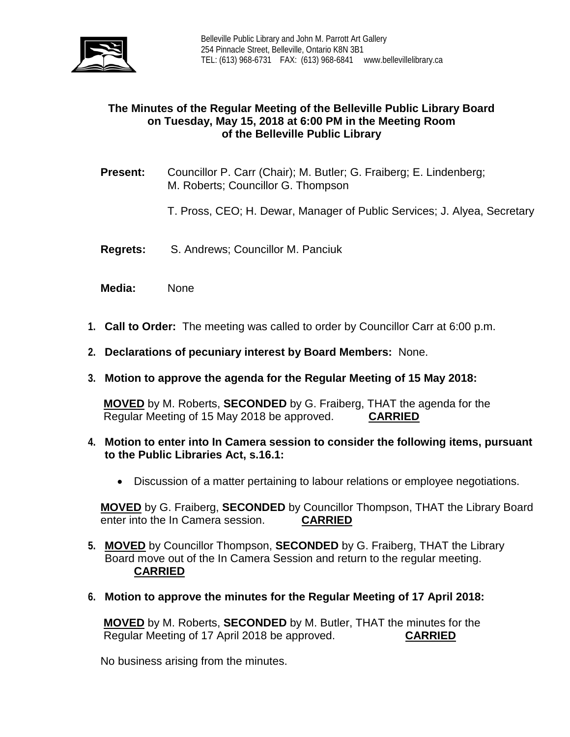

# **The Minutes of the Regular Meeting of the Belleville Public Library Board on Tuesday, May 15, 2018 at 6:00 PM in the Meeting Room of the Belleville Public Library**

- **Present:** Councillor P. Carr (Chair); M. Butler; G. Fraiberg; E. Lindenberg; M. Roberts; Councillor G. Thompson
	- T. Pross, CEO; H. Dewar, Manager of Public Services; J. Alyea, Secretary
- **Regrets:** S. Andrews; Councillor M. Panciuk
- **Media:** None
- **1. Call to Order:** The meeting was called to order by Councillor Carr at 6:00 p.m.
- **2. Declarations of pecuniary interest by Board Members:** None.
- **3. Motion to approve the agenda for the Regular Meeting of 15 May 2018:**

**MOVED** by M. Roberts, **SECONDED** by G. Fraiberg, THAT the agenda for the Regular Meeting of 15 May 2018 be approved. **CARRIED**

- **4. Motion to enter into In Camera session to consider the following items, pursuant to the Public Libraries Act, s.16.1:**
	- Discussion of a matter pertaining to labour relations or employee negotiations.

**MOVED** by G. Fraiberg, **SECONDED** by Councillor Thompson, THAT the Library Board enter into the In Camera session. **CARRIED**

- **5. MOVED** by Councillor Thompson, **SECONDED** by G. Fraiberg, THAT the Library Board move out of the In Camera Session and return to the regular meeting. **CARRIED**
- **6. Motion to approve the minutes for the Regular Meeting of 17 April 2018:**

**MOVED** by M. Roberts, **SECONDED** by M. Butler, THAT the minutes for the Regular Meeting of 17 April 2018 be approved. CARRIED Regular Meeting of 17 April 2018 be approved.

No business arising from the minutes.